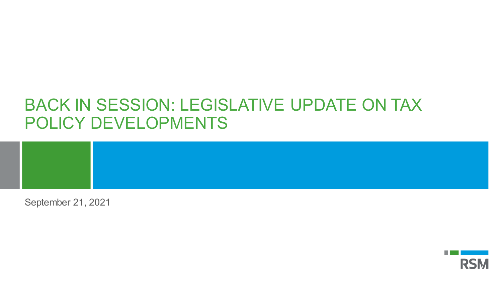## BACK IN SESSION: LEGISLATIVE UPDATE ON TAX POLICY DEVELOPMENTS

September 21, 2021

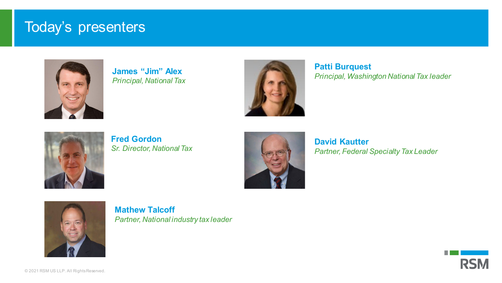#### Today's presenters



**James "Jim" Alex** *Principal, National Tax*



**Patti Burquest** *Principal, Washington National Tax leader*



**Fred Gordon** *Sr. Director, National Tax* 



**David Kautter** *Partner, Federal Specialty Tax Leader* 



**Mathew Talcoff** *Partner, National industry tax leader*

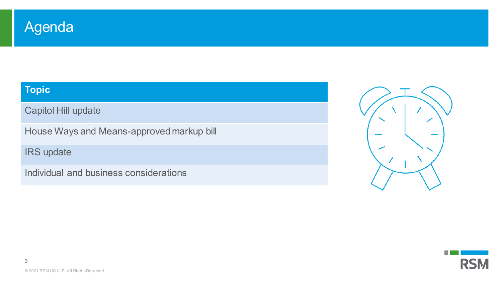

#### **Topic**

Capitol Hill update

House Ways and Means-approved markup bill

IRS update

Individual and business considerations





.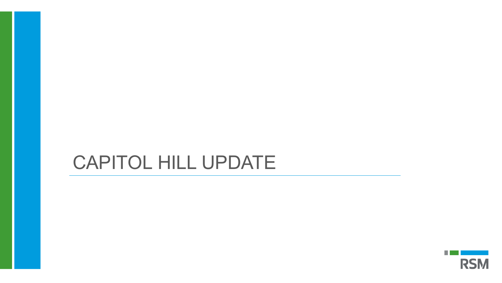# CAPITOL HILL UPDATE

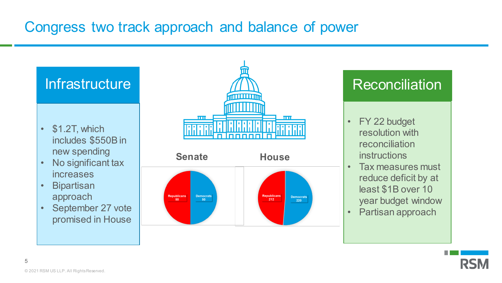## Congress two track approach and balance of power

- \$1.2T, which includes \$550B in new spending
- No significant tax increases
- **Bipartisan** approach
- September 27 vote promised in House





- FY 22 budget resolution with reconciliation instructions
- Tax measures must reduce deficit by at least \$1B over 10 year budget window
- Partisan approach

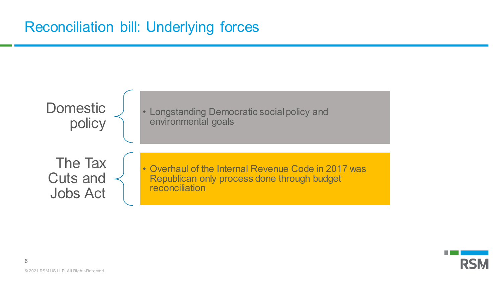## Reconciliation bill: Underlying forces



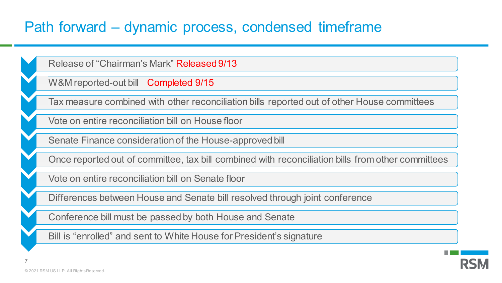### Path forward – dynamic process, condensed timeframe

• Release of "Chairman's Mark" Released 9/13

W&M reported-out bill Completed 9/15

• Tax measure combined with other reconciliation bills reported out of other House committees

• Vote on entire reconciliation bill on House floor

Senate Finance consideration of the House-approved bill

• Once reported out of committee, tax bill combined with reconciliation bills from other committees

• Vote on entire reconciliation bill on Senate floor

• Differences between House and Senate bill resolved through joint conference

• Conference bill must be passed by both House and Senate

Bill is "enrolled" and sent to White House for President's signature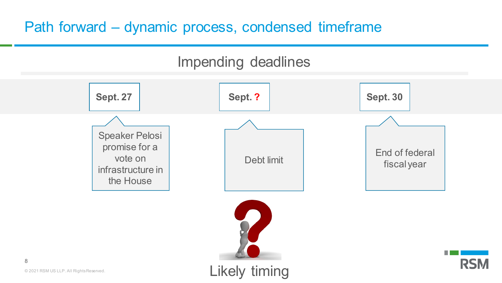## Path forward – dynamic process, condensed timeframe

#### Impending deadlines



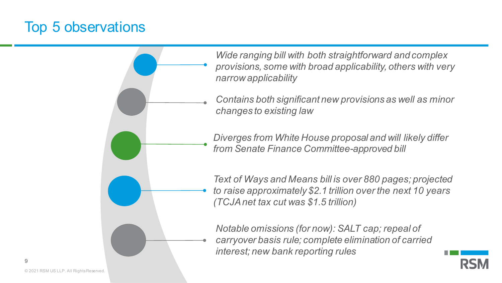#### Top 5 observations

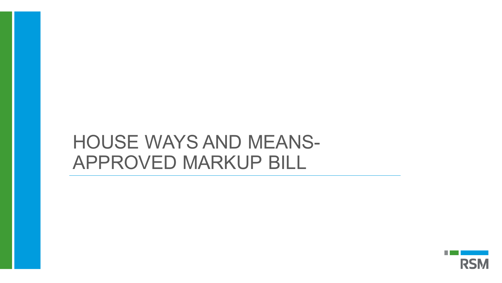# HOUSE WAYS AND MEANS-APPROVED MARKUP BILL

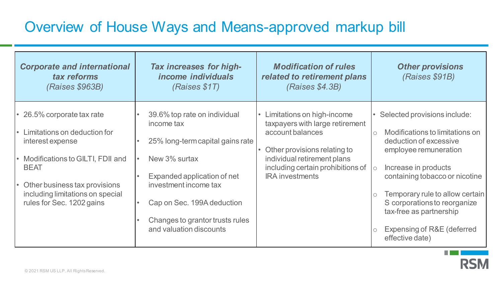### Overview of House Ways and Means-approved markup bill

| <b>Corporate and international</b><br>tax reforms<br>(Raises \$963B)                                                                                                                                                                                            | <b>Tax increases for high-</b><br><i>income individuals</i><br>(Raises \$1T)                                                                                                                                                                                     | <b>Modification of rules</b><br>related to retirement plans<br>(Raises \$4.3B)                                                                                                                                               | <b>Other provisions</b><br>(Raises \$91B)                                                                                                                                                                                                                                                                                                                       |
|-----------------------------------------------------------------------------------------------------------------------------------------------------------------------------------------------------------------------------------------------------------------|------------------------------------------------------------------------------------------------------------------------------------------------------------------------------------------------------------------------------------------------------------------|------------------------------------------------------------------------------------------------------------------------------------------------------------------------------------------------------------------------------|-----------------------------------------------------------------------------------------------------------------------------------------------------------------------------------------------------------------------------------------------------------------------------------------------------------------------------------------------------------------|
| • 26.5% corporate tax rate<br>Limitations on deduction for<br>$\bullet$<br>interest expense<br>• Modifications to GILTI, FDII and<br><b>BEAT</b><br>Other business tax provisions<br>$\bullet$<br>including limitations on special<br>rules for Sec. 1202 gains | 39.6% top rate on individual<br>income tax<br>25% long-term capital gains rate<br>$\bullet$<br>New 3% surtax<br>Expanded application of net<br>investment income tax<br>Cap on Sec. 199A deduction<br>Changes to grantor trusts rules<br>and valuation discounts | Limitations on high-income<br>$\bullet$<br>taxpayers with large retirement<br>account balances<br>Other provisions relating to<br>individual retirement plans<br>including certain prohibitions of<br><b>IRA</b> investments | Selected provisions include:<br>Modifications to limitations on<br>$\circ$<br>deduction of excessive<br>employee remuneration<br>Increase in products<br>$\circ$<br>containing tobacco or nicotine<br>Temporary rule to allow certain<br>$\bigcirc$<br>S corporations to reorganize<br>tax-free as partnership<br>Expensing of R&E (deferred<br>effective date) |



H.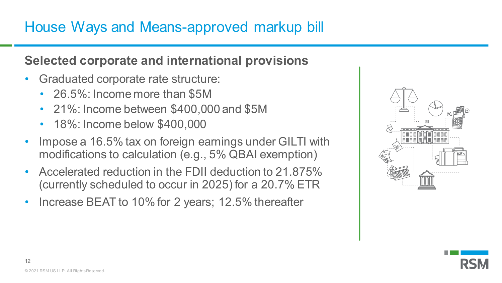#### **Selected corporate and international provisions**

- Graduated corporate rate structure:
	- 26.5%: Income more than \$5M
	- 21%: Income between \$400,000 and \$5M
	- 18%: Income below \$400,000
- Impose a 16.5% tax on foreign earnings under GILTI with modifications to calculation (e.g., 5% QBAI exemption)
- Accelerated reduction in the FDII deduction to 21.875% (currently scheduled to occur in 2025) for a 20.7% ETR
- Increase BEAT to 10% for 2 years; 12.5% thereafter

| Æ<br>X,<br><u> 2011 1011 1011 1111</u><br>m<br><b>THE S</b><br>ш           |
|----------------------------------------------------------------------------|
| 圕<br>田田田<br>囲田<br>圕<br>⊞<br>囲<br>⊞<br>⊞<br>田田田<br>田田田田<br>F<br>⊞<br>⊞<br>昍 |
| ۱È                                                                         |
|                                                                            |

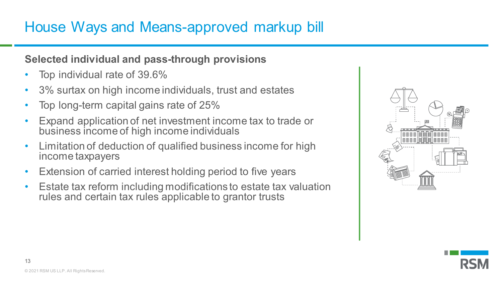## House Ways and Means-approved markup bill

#### **Selected individual and pass-through provisions**

- Top individual rate of 39.6%
- 3% surtax on high income individuals, trust and estates
- Top long-term capital gains rate of 25%
- Expand application of net investment income tax to trade or business income of high income individuals
- Limitation of deduction of qualified business income for high income taxpayers
- Extension of carried interest holding period to five years
- Estate tax reform including modifications to estate tax valuation rules and certain tax rules applicable to grantor trusts



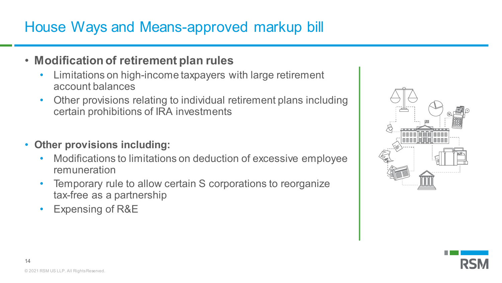## House Ways and Means-approved markup bill

#### • **Modification of retirement plan rules**

- Limitations on high-income taxpayers with large retirement account balances
- Other provisions relating to individual retirement plans including certain prohibitions of IRA investments
- **Other provisions including:** 
	- Modifications to limitations on deduction of excessive employee remuneration
	- Temporary rule to allow certain S corporations to reorganize tax-free as a partnership
	- Expensing of R&E



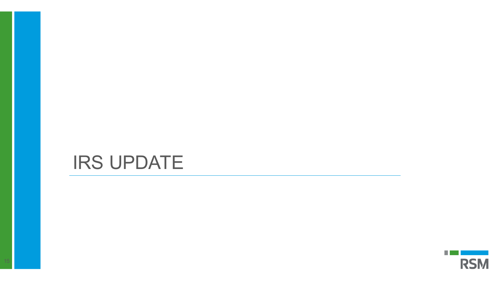# IRS UPDATE

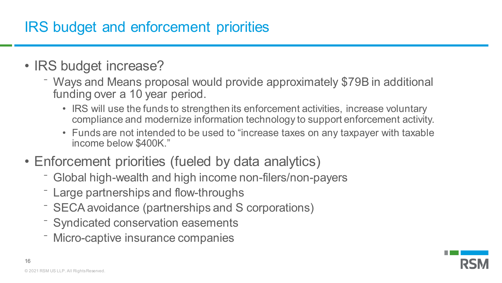## IRS budget and enforcement priorities

- IRS budget increase?
	- ⁻ Ways and Means proposal would provide approximately \$79B in additional funding over a 10 year period.
		- IRS will use the funds to strengthen its enforcement activities, increase voluntary compliance and modernize information technology to support enforcement activity.
		- Funds are not intended to be used to "increase taxes on any taxpayer with taxable income below \$400K."
- Enforcement priorities (fueled by data analytics)
	- Global high-wealth and high income non-filers/non-payers
	- Large partnerships and flow-throughs
	- ⁻ SECA avoidance (partnerships and S corporations)
	- ⁻ Syndicated conservation easements
	- ⁻ Micro-captive insurance companies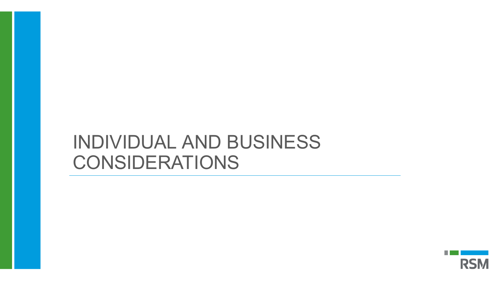# INDIVIDUAL AND BUSINESS CONSIDERATIONS

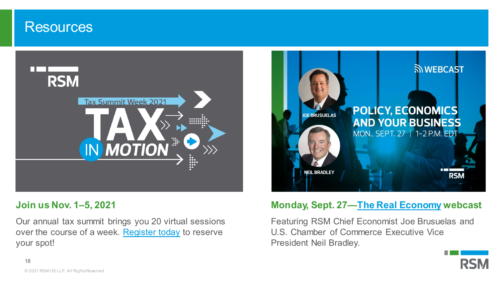#### **Resources**



#### **Join us Nov. 1–5, 2021**

Our annual tax summit brings you 20 virtual sessions over the course of a week. [Register today](https://rsmus.com/events/tax-in-motion-2021.html) to reserve your spot!



#### **Monday, Sept. 27[—The Real Economy](https://rsmus.com/economics/the-real-economy.html) webcast**

Featuring RSM Chief Economist Joe Brusuelas and U.S. Chamber of Commerce Executive Vice President Neil Bradley.

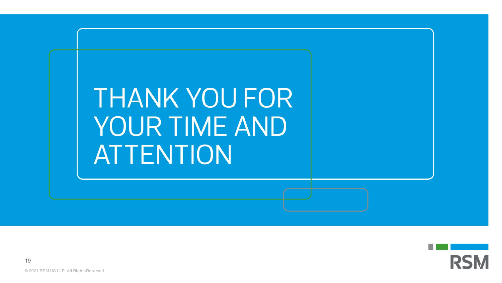